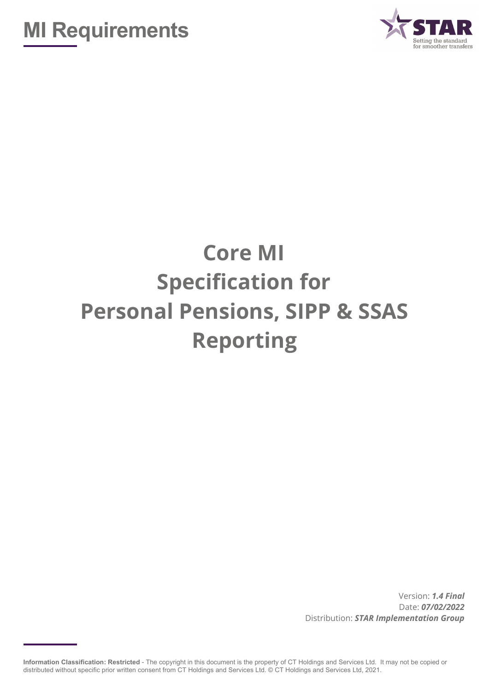



# **Core MI Specification for Personal Pensions, SIPP & SSAS Reporting**

Version: *1.4 Final* Date: *07/02/2022* Distribution: *STAR Implementation Group*

**Information Classification: Restricted** - The copyright in this document is the property of CT Holdings and Services Ltd. It may not be copied or distributed without specific prior written consent from CT Holdings and Services Ltd. © CT Holdings and Services Ltd, 2021.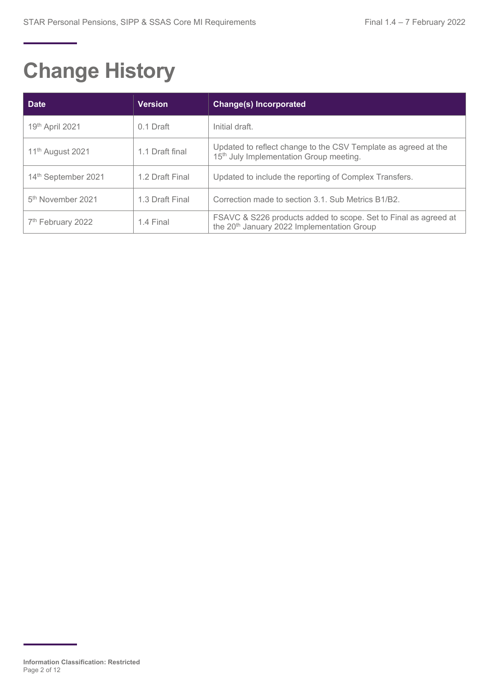# **Change History**

| <b>Date</b>                   | <b>Version</b>  | <b>Change(s) Incorporated</b>                                                                                             |
|-------------------------------|-----------------|---------------------------------------------------------------------------------------------------------------------------|
| 19th April 2021               | $0.1$ Draft     | Initial draft.                                                                                                            |
| 11 <sup>th</sup> August 2021  | 1.1 Draft final | Updated to reflect change to the CSV Template as agreed at the<br>15 <sup>th</sup> July Implementation Group meeting.     |
| 14th September 2021           | 1.2 Draft Final | Updated to include the reporting of Complex Transfers.                                                                    |
| 5 <sup>th</sup> November 2021 | 1.3 Draft Final | Correction made to section 3.1. Sub Metrics B1/B2.                                                                        |
| 7 <sup>th</sup> February 2022 | 1.4 Final       | FSAVC & S226 products added to scope. Set to Final as agreed at<br>the 20 <sup>th</sup> January 2022 Implementation Group |

**Information Classification: Restricted** Page 2 of 12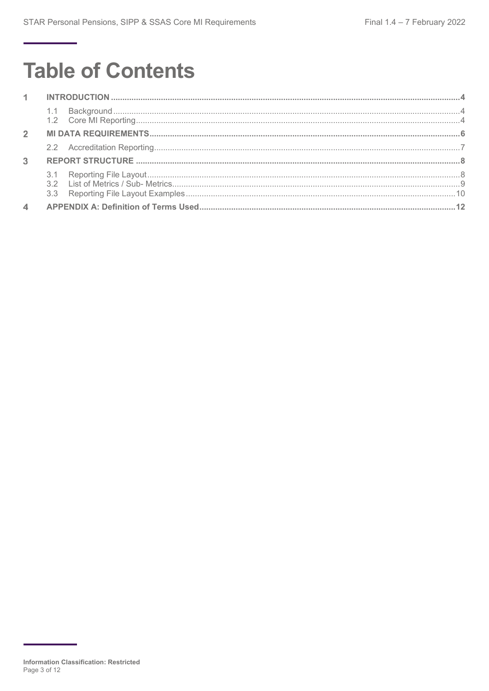## **Table of Contents**

| $1 -$          |  |  |
|----------------|--|--|
|                |  |  |
| $\overline{2}$ |  |  |
|                |  |  |
| $\mathbf{3}$   |  |  |
|                |  |  |
|                |  |  |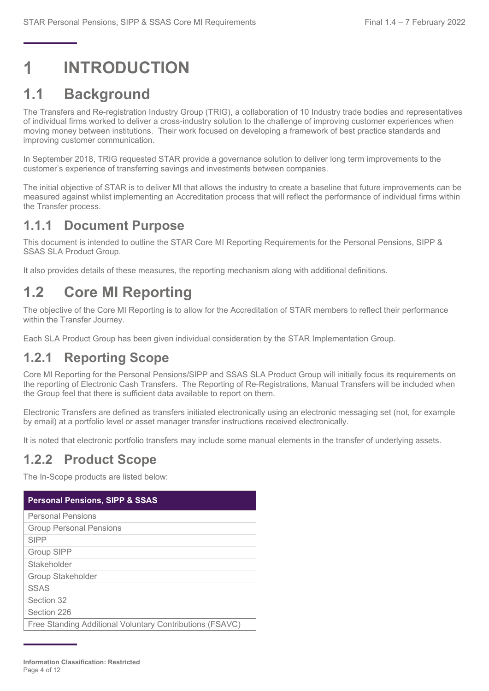## <span id="page-3-0"></span>**INTRODUCTION**

### <span id="page-3-1"></span>**1.1 Background**

The Transfers and Re-registration Industry Group (TRIG), a collaboration of 10 Industry trade bodies and representatives of individual firms worked to deliver a cross-industry solution to the challenge of improving customer experiences when moving money between institutions. Their work focused on developing a framework of best practice standards and improving customer communication.

In September 2018, TRIG requested STAR provide a governance solution to deliver long term improvements to the customer's experience of transferring savings and investments between companies.

The initial objective of STAR is to deliver MI that allows the industry to create a baseline that future improvements can be measured against whilst implementing an Accreditation process that will reflect the performance of individual firms within the Transfer process.

#### **1.1.1 Document Purpose**

This document is intended to outline the STAR Core MI Reporting Requirements for the Personal Pensions, SIPP & SSAS SLA Product Group.

It also provides details of these measures, the reporting mechanism along with additional definitions.

## <span id="page-3-2"></span>**1.2 Core MI Reporting**

The objective of the Core MI Reporting is to allow for the Accreditation of STAR members to reflect their performance within the Transfer Journey.

Each SLA Product Group has been given individual consideration by the STAR Implementation Group.

#### **1.2.1 Reporting Scope**

Core MI Reporting for the Personal Pensions/SIPP and SSAS SLA Product Group will initially focus its requirements on the reporting of Electronic Cash Transfers. The Reporting of Re-Registrations, Manual Transfers will be included when the Group feel that there is sufficient data available to report on them.

Electronic Transfers are defined as transfers initiated electronically using an electronic messaging set (not, for example by email) at a portfolio level or asset manager transfer instructions received electronically.

It is noted that electronic portfolio transfers may include some manual elements in the transfer of underlying assets.

#### **1.2.2 Product Scope**

The In-Scope products are listed below:

| <b>Personal Pensions, SIPP &amp; SSAS</b>                |
|----------------------------------------------------------|
| <b>Personal Pensions</b>                                 |
| <b>Group Personal Pensions</b>                           |
| <b>SIPP</b>                                              |
| Group SIPP                                               |
| Stakeholder                                              |
| Group Stakeholder                                        |
| <b>SSAS</b>                                              |
| Section 32                                               |
| Section 226                                              |
| Free Standing Additional Voluntary Contributions (FSAVC) |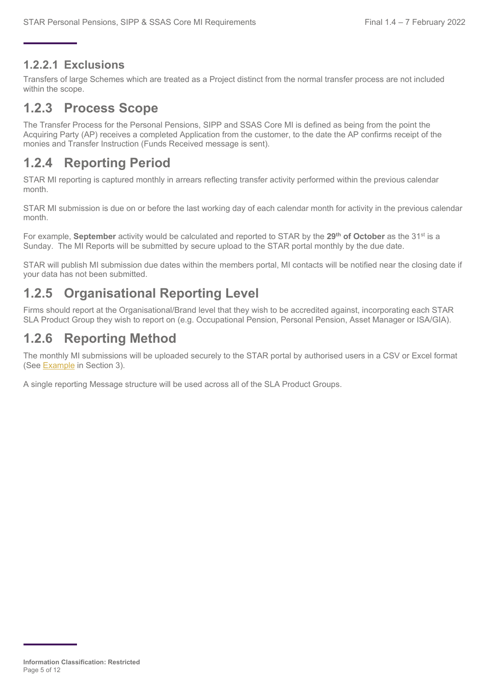#### **1.2.2.1 Exclusions**

Transfers of large Schemes which are treated as a Project distinct from the normal transfer process are not included within the scope.

### **1.2.3 Process Scope**

The Transfer Process for the Personal Pensions, SIPP and SSAS Core MI is defined as being from the point the Acquiring Party (AP) receives a completed Application from the customer, to the date the AP confirms receipt of the monies and Transfer Instruction (Funds Received message is sent).

### **1.2.4 Reporting Period**

STAR MI reporting is captured monthly in arrears reflecting transfer activity performed within the previous calendar month.

STAR MI submission is due on or before the last working day of each calendar month for activity in the previous calendar month.

For example, **September** activity would be calculated and reported to STAR by the **29th of October** as the 31st is a Sunday. The MI Reports will be submitted by secure upload to the STAR portal monthly by the due date.

STAR will publish MI submission due dates within the members portal, MI contacts will be notified near the closing date if your data has not been submitted.

### **1.2.5 Organisational Reporting Level**

Firms should report at the Organisational/Brand level that they wish to be accredited against, incorporating each STAR SLA Product Group they wish to report on (e.g. Occupational Pension, Personal Pension, Asset Manager or ISA/GIA).

### **1.2.6 Reporting Method**

The monthly MI submissions will be uploaded securely to the STAR portal by authorised users in a CSV or Excel format (See [Example](#page-9-0) in Section 3).

A single reporting Message structure will be used across all of the SLA Product Groups.

**Information Classification: Restricted** Page 5 of 12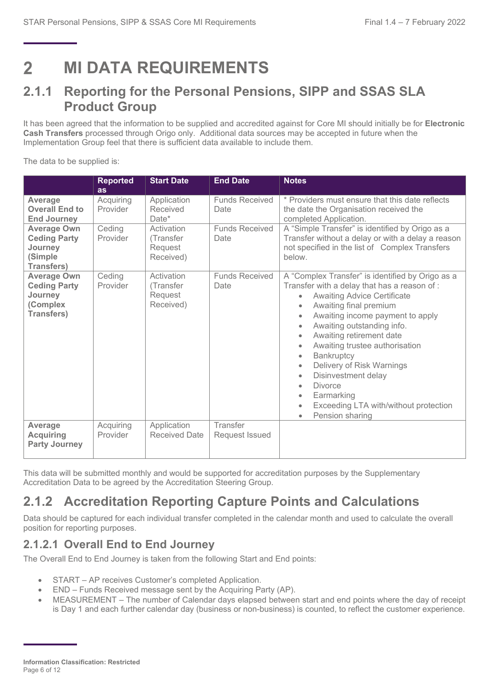<span id="page-5-0"></span>**MI DATA REQUIREMENTS**  $\mathbf{P}$ 

#### **2.1.1 Reporting for the Personal Pensions, SIPP and SSAS SLA Product Group**

It has been agreed that the information to be supplied and accredited against for Core MI should initially be for **Electronic Cash Transfers** processed through Origo only. Additional data sources may be accepted in future when the Implementation Group feel that there is sufficient data available to include them.

The data to be supplied is:

|                                                                                       | <b>Reported</b><br>as | <b>Start Date</b>                               | <b>End Date</b>               | <b>Notes</b>                                                                                                                                                                                                                                                                                                                                                                                                                                                                                                                                                           |
|---------------------------------------------------------------------------------------|-----------------------|-------------------------------------------------|-------------------------------|------------------------------------------------------------------------------------------------------------------------------------------------------------------------------------------------------------------------------------------------------------------------------------------------------------------------------------------------------------------------------------------------------------------------------------------------------------------------------------------------------------------------------------------------------------------------|
| Average<br><b>Overall End to</b><br><b>End Journey</b>                                | Acquiring<br>Provider | Application<br>Received<br>Date*                | <b>Funds Received</b><br>Date | * Providers must ensure that this date reflects<br>the date the Organisation received the<br>completed Application.                                                                                                                                                                                                                                                                                                                                                                                                                                                    |
| <b>Average Own</b><br><b>Ceding Party</b><br>Journey<br>(Simple<br><b>Transfers)</b>  | Ceding<br>Provider    | Activation<br>(Transfer<br>Request<br>Received) | <b>Funds Received</b><br>Date | A "Simple Transfer" is identified by Origo as a<br>Transfer without a delay or with a delay a reason<br>not specified in the list of Complex Transfers<br>below.                                                                                                                                                                                                                                                                                                                                                                                                       |
| <b>Average Own</b><br><b>Ceding Party</b><br>Journey<br>(Complex<br><b>Transfers)</b> | Ceding<br>Provider    | Activation<br>(Transfer<br>Request<br>Received) | <b>Funds Received</b><br>Date | A "Complex Transfer" is identified by Origo as a<br>Transfer with a delay that has a reason of:<br><b>Awaiting Advice Certificate</b><br>$\bullet$<br>Awaiting final premium<br>$\bullet$<br>Awaiting income payment to apply<br>٠<br>Awaiting outstanding info.<br>٠<br>Awaiting retirement date<br>$\bullet$<br>Awaiting trustee authorisation<br>٠<br>Bankruptcy<br>٠<br>Delivery of Risk Warnings<br>٠<br>Disinvestment delay<br>۰<br><b>Divorce</b><br>$\bullet$<br>Earmarking<br>٠<br>Exceeding LTA with/without protection<br>$\bullet$<br>Pension sharing<br>٠ |
| Average<br><b>Acquiring</b><br><b>Party Journey</b>                                   | Acquiring<br>Provider | Application<br>Received Date                    | Transfer<br>Request Issued    |                                                                                                                                                                                                                                                                                                                                                                                                                                                                                                                                                                        |

This data will be submitted monthly and would be supported for accreditation purposes by the Supplementary Accreditation Data to be agreed by the Accreditation Steering Group.

### **2.1.2 Accreditation Reporting Capture Points and Calculations**

Data should be captured for each individual transfer completed in the calendar month and used to calculate the overall position for reporting purposes.

#### **2.1.2.1 Overall End to End Journey**

The Overall End to End Journey is taken from the following Start and End points:

- START AP receives Customer's completed Application.
- END Funds Received message sent by the Acquiring Party (AP).
- MEASUREMENT The number of Calendar days elapsed between start and end points where the day of receipt is Day 1 and each further calendar day (business or non-business) is counted, to reflect the customer experience.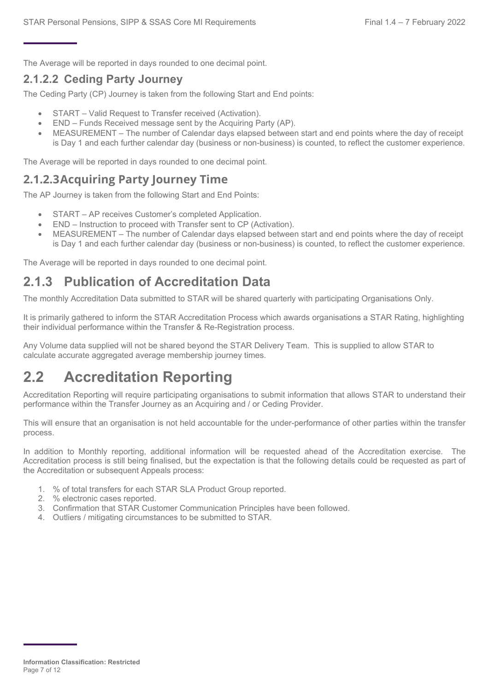The Average will be reported in days rounded to one decimal point.

#### **2.1.2.2 Ceding Party Journey**

The Ceding Party (CP) Journey is taken from the following Start and End points:

- START Valid Request to Transfer received (Activation).
- END Funds Received message sent by the Acquiring Party (AP).
- MEASUREMENT The number of Calendar days elapsed between start and end points where the day of receipt is Day 1 and each further calendar day (business or non-business) is counted, to reflect the customer experience.

The Average will be reported in days rounded to one decimal point.

#### **2.1.2.3Acquiring Party Journey Time**

The AP Journey is taken from the following Start and End Points:

- START AP receives Customer's completed Application.
- END Instruction to proceed with Transfer sent to CP (Activation).
- MEASUREMENT The number of Calendar days elapsed between start and end points where the day of receipt is Day 1 and each further calendar day (business or non-business) is counted, to reflect the customer experience.

The Average will be reported in days rounded to one decimal point.

### **2.1.3 Publication of Accreditation Data**

The monthly Accreditation Data submitted to STAR will be shared quarterly with participating Organisations Only.

It is primarily gathered to inform the STAR Accreditation Process which awards organisations a STAR Rating, highlighting their individual performance within the Transfer & Re-Registration process.

Any Volume data supplied will not be shared beyond the STAR Delivery Team. This is supplied to allow STAR to calculate accurate aggregated average membership journey times.

### <span id="page-6-0"></span>**2.2 Accreditation Reporting**

Accreditation Reporting will require participating organisations to submit information that allows STAR to understand their performance within the Transfer Journey as an Acquiring and / or Ceding Provider.

This will ensure that an organisation is not held accountable for the under-performance of other parties within the transfer process.

In addition to Monthly reporting, additional information will be requested ahead of the Accreditation exercise. The Accreditation process is still being finalised, but the expectation is that the following details could be requested as part of the Accreditation or subsequent Appeals process:

- 1. % of total transfers for each STAR SLA Product Group reported.
- 2. % electronic cases reported.
- 3. Confirmation that STAR Customer Communication Principles have been followed.
- 4. Outliers / mitigating circumstances to be submitted to STAR.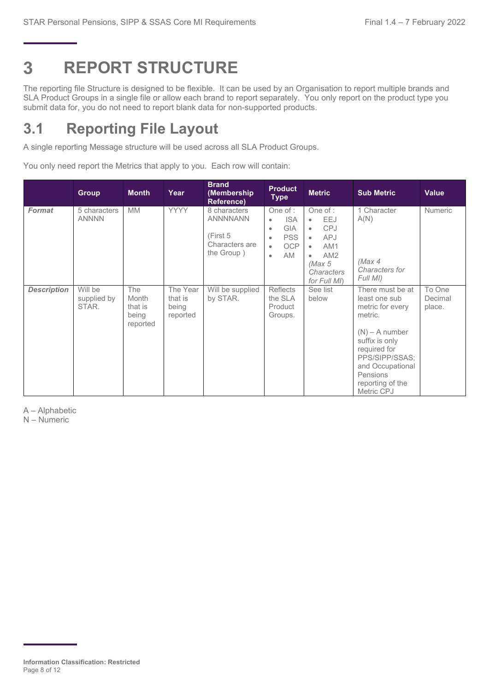#### <span id="page-7-0"></span>3 **REPORT STRUCTURE**

The reporting file Structure is designed to be flexible. It can be used by an Organisation to report multiple brands and SLA Product Groups in a single file or allow each brand to report separately. You only report on the product type you submit data for, you do not need to report blank data for non-supported products.

## <span id="page-7-1"></span>**3.1 Reporting File Layout**

A single reporting Message structure will be used across all SLA Product Groups.

You only need report the Metrics that apply to you. Each row will contain:

|                    | <b>Group</b>                    | <b>Month</b>                                        | Year                                     | <b>Brand</b><br>(Membership<br>Reference)                                   | <b>Product</b><br><b>Type</b>                                                                                                             | <b>Metric</b>                                                                                                                                                      | <b>Sub Metric</b>                                                                                                                                                                                          | <b>Value</b>                |
|--------------------|---------------------------------|-----------------------------------------------------|------------------------------------------|-----------------------------------------------------------------------------|-------------------------------------------------------------------------------------------------------------------------------------------|--------------------------------------------------------------------------------------------------------------------------------------------------------------------|------------------------------------------------------------------------------------------------------------------------------------------------------------------------------------------------------------|-----------------------------|
| <b>Format</b>      | 5 characters<br><b>ANNNN</b>    | <b>MM</b>                                           | <b>YYYY</b>                              | 8 characters<br><b>ANNNNANN</b><br>(First 5<br>Characters are<br>the Group) | One of $:$<br><b>ISA</b><br>$\bullet$<br><b>GIA</b><br>$\bullet$<br><b>PSS</b><br>$\bullet$<br>OCP<br>$\bullet$<br><b>AM</b><br>$\bullet$ | One of :<br>EEJ<br>$\bullet$<br><b>CPJ</b><br>$\bullet$<br><b>APJ</b><br>$\bullet$<br>AM1<br>$\bullet$<br>AM2<br>$\bullet$<br>(Max 5<br>Characters<br>for Full MI) | 1 Character<br>A(N)<br>(Max 4<br>Characters for<br>Full MI)                                                                                                                                                | <b>Numeric</b>              |
| <b>Description</b> | Will be<br>supplied by<br>STAR. | <b>The</b><br>Month<br>that is<br>being<br>reported | The Year<br>that is<br>being<br>reported | Will be supplied<br>by STAR.                                                | <b>Reflects</b><br>the SLA<br>Product<br>Groups.                                                                                          | See list<br>below                                                                                                                                                  | There must be at<br>least one sub<br>metric for every<br>metric.<br>$(N)$ – A number<br>suffix is only<br>required for<br>PPS/SIPP/SSAS:<br>and Occupational<br>Pensions<br>reporting of the<br>Metric CPJ | To One<br>Decimal<br>place. |

A – Alphabetic

N – Numeric

**Information Classification: Restricted** Page 8 of 12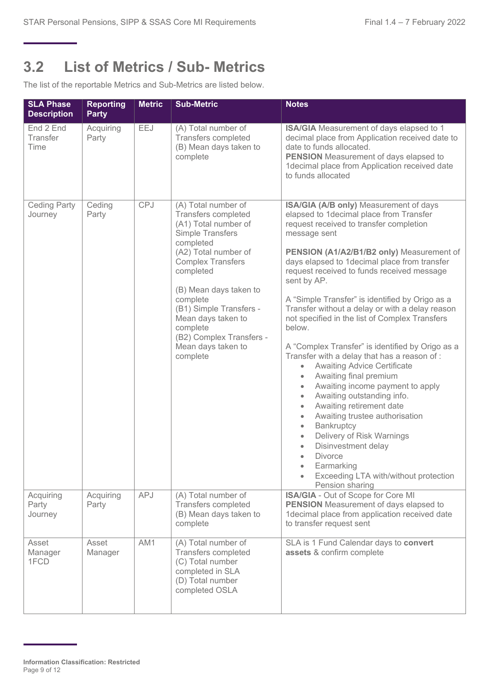### <span id="page-8-0"></span>**3.2 List of Metrics / Sub- Metrics**

The list of the reportable Metrics and Sub-Metrics are listed below.

| <b>SLA Phase</b><br><b>Description</b> | <b>Reporting</b><br><b>Party</b> | <b>Metric</b> | <b>Sub-Metric</b>                                                                                                                                                                                                                                                                                                                            | <b>Notes</b>                                                                                                                                                                                                                                                                                                                                                                                                                                                                                                                                                                                                                                                                                                                                                                                                                                                                                                                                                                                                                                                                 |
|----------------------------------------|----------------------------------|---------------|----------------------------------------------------------------------------------------------------------------------------------------------------------------------------------------------------------------------------------------------------------------------------------------------------------------------------------------------|------------------------------------------------------------------------------------------------------------------------------------------------------------------------------------------------------------------------------------------------------------------------------------------------------------------------------------------------------------------------------------------------------------------------------------------------------------------------------------------------------------------------------------------------------------------------------------------------------------------------------------------------------------------------------------------------------------------------------------------------------------------------------------------------------------------------------------------------------------------------------------------------------------------------------------------------------------------------------------------------------------------------------------------------------------------------------|
| End 2 End<br>Transfer<br>Time          | Acquiring<br>Party               | EEJ           | (A) Total number of<br><b>Transfers completed</b><br>(B) Mean days taken to<br>complete                                                                                                                                                                                                                                                      | <b>ISA/GIA</b> Measurement of days elapsed to 1<br>decimal place from Application received date to<br>date to funds allocated.<br><b>PENSION</b> Measurement of days elapsed to<br>1decimal place from Application received date<br>to funds allocated                                                                                                                                                                                                                                                                                                                                                                                                                                                                                                                                                                                                                                                                                                                                                                                                                       |
| <b>Ceding Party</b><br>Journey         | Ceding<br>Party                  | <b>CPJ</b>    | (A) Total number of<br>Transfers completed<br>(A1) Total number of<br><b>Simple Transfers</b><br>completed<br>(A2) Total number of<br><b>Complex Transfers</b><br>completed<br>(B) Mean days taken to<br>complete<br>(B1) Simple Transfers -<br>Mean days taken to<br>complete<br>(B2) Complex Transfers -<br>Mean days taken to<br>complete | ISA/GIA (A/B only) Measurement of days<br>elapsed to 1decimal place from Transfer<br>request received to transfer completion<br>message sent<br>PENSION (A1/A2/B1/B2 only) Measurement of<br>days elapsed to 1decimal place from transfer<br>request received to funds received message<br>sent by AP.<br>A "Simple Transfer" is identified by Origo as a<br>Transfer without a delay or with a delay reason<br>not specified in the list of Complex Transfers<br>below.<br>A "Complex Transfer" is identified by Origo as a<br>Transfer with a delay that has a reason of :<br><b>Awaiting Advice Certificate</b><br>$\bullet$<br>Awaiting final premium<br>$\bullet$<br>Awaiting income payment to apply<br>$\bullet$<br>Awaiting outstanding info.<br>$\bullet$<br>Awaiting retirement date<br>$\bullet$<br>Awaiting trustee authorisation<br>$\bullet$<br>Bankruptcy<br>$\bullet$<br>Delivery of Risk Warnings<br>$\bullet$<br>Disinvestment delay<br>$\bullet$<br><b>Divorce</b><br>$\bullet$<br>Earmarking<br>Exceeding LTA with/without protection<br>Pension sharing |
| Acquiring<br>Party<br>Journey          | Acquiring<br>Party               | <b>APJ</b>    | (A) Total number of<br>Transfers completed<br>(B) Mean days taken to<br>complete                                                                                                                                                                                                                                                             | ISA/GIA - Out of Scope for Core MI<br><b>PENSION</b> Measurement of days elapsed to<br>1decimal place from application received date<br>to transfer request sent                                                                                                                                                                                                                                                                                                                                                                                                                                                                                                                                                                                                                                                                                                                                                                                                                                                                                                             |
| Asset<br>Manager<br>1FCD               | Asset<br>Manager                 | AM1           | (A) Total number of<br>Transfers completed<br>(C) Total number<br>completed in SLA<br>(D) Total number<br>completed OSLA                                                                                                                                                                                                                     | SLA is 1 Fund Calendar days to convert<br>assets & confirm complete                                                                                                                                                                                                                                                                                                                                                                                                                                                                                                                                                                                                                                                                                                                                                                                                                                                                                                                                                                                                          |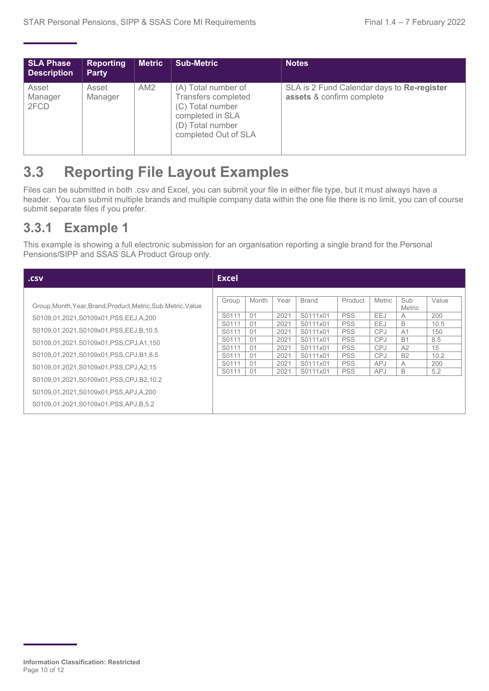| <b>SLA Phase</b><br><b>Description</b> | <b>Reporting</b><br><b>Party</b> | <b>Metric</b>   | Sub-Metric                                                                                                                            | <b>Notes</b>                                                            |
|----------------------------------------|----------------------------------|-----------------|---------------------------------------------------------------------------------------------------------------------------------------|-------------------------------------------------------------------------|
| Asset<br>Manager<br>2FCD               | Asset<br>Manager                 | AM <sub>2</sub> | (A) Total number of<br><b>Transfers completed</b><br>(C) Total number<br>completed in SLA<br>(D) Total number<br>completed Out of SLA | SLA is 2 Fund Calendar days to Re-register<br>assets & confirm complete |

### <span id="page-9-0"></span>**3.3 Reporting File Layout Examples**

Files can be submitted in both .csv and Excel, you can submit your file in either file type, but it must always have a header. You can submit multiple brands and multiple company data within the one file there is no limit, you can of course submit separate files if you prefer.

#### **3.3.1 Example 1**

This example is showing a full electronic submission for an organisation reporting a single brand for the Personal Pensions/SIPP and SSAS SLA Product Group only.

| .csv                                                                                                                                                                                                                                                                                                                                                                                                                                                                                | Excel                                                 |                                                                      |                                                                                                              |                                                                                                                         |                                                                                                                 |                                                                                                  |                                                                |  |
|-------------------------------------------------------------------------------------------------------------------------------------------------------------------------------------------------------------------------------------------------------------------------------------------------------------------------------------------------------------------------------------------------------------------------------------------------------------------------------------|-------------------------------------------------------|----------------------------------------------------------------------|--------------------------------------------------------------------------------------------------------------|-------------------------------------------------------------------------------------------------------------------------|-----------------------------------------------------------------------------------------------------------------|--------------------------------------------------------------------------------------------------|----------------------------------------------------------------|--|
| Group<br>Group, Month, Year, Brand, Product, Metric, Sub Metric, Value<br>S0111<br>S0109.01.2021.S0109x01.PSS.EEJ.A.200<br>S0111<br>S0109.01.2021.S0109x01.PSS.EEJ.B.10.5<br>S0111<br>S0111<br>S0109.01.2021.S0109x01.PSS.CPJ.A1.150<br>S0111<br>S0109.01.2021.S0109x01.PSS.CPJ.B1.8.5<br>S0111<br>S0111<br>S0109.01.2021.S0109x01.PSS.CPJ.A2.15<br>S0111<br>S0109.01.2021.S0109x01.PSS.CPJ.B2.10.2<br>S0109.01.2021.S0109x01.PSS.APJ.A.200<br>S0109,01,2021,S0109x01,PSS,APJ,B,5.2 | Month<br>01<br>01<br>01<br>01<br>01<br>01<br>01<br>01 | Year<br>2021<br>2021<br>2021<br>2021<br>2021<br>2021<br>2021<br>2021 | <b>Brand</b><br>S0111x01<br>S0111x01<br>S0111x01<br>S0111x01<br>S0111x01<br>S0111x01<br>S0111x01<br>S0111x01 | Product<br><b>PSS</b><br><b>PSS</b><br><b>PSS</b><br><b>PSS</b><br><b>PSS</b><br><b>PSS</b><br><b>PSS</b><br><b>PSS</b> | <b>Metric</b><br>EEJ<br>EEJ<br><b>CPJ</b><br><b>CPJ</b><br><b>CPJ</b><br><b>CPJ</b><br><b>APJ</b><br><b>APJ</b> | Sub<br>Metric<br>A<br>B<br>A <sub>1</sub><br><b>B1</b><br>A2<br><b>B2</b><br>$\overline{A}$<br>B | Value<br>200<br>10.5<br>150<br>8.5<br>15<br>10.2<br>200<br>5.2 |  |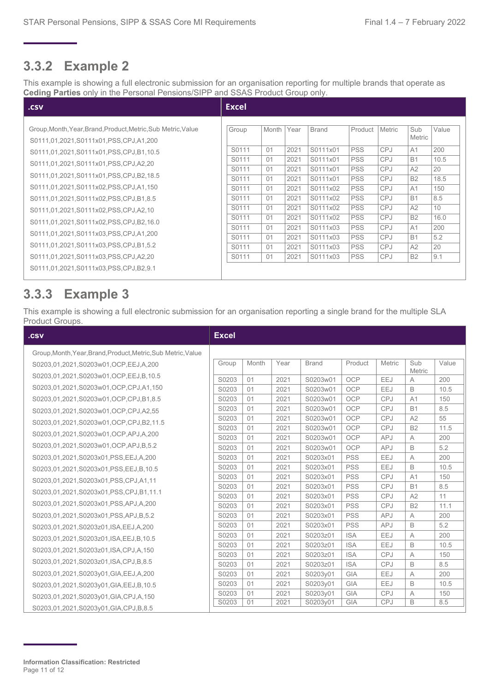#### **3.3.2 Example 2**

This example is showing a full electronic submission for an organisation reporting for multiple brands that operate as **Ceding Parties** only in the Personal Pensions/SIPP and SSAS Product Group only.

| Group, Month, Year, Brand, Product, Metric, Sub Metric, Value<br>Group<br>S0111,01,2021,S0111x01,PSS,CPJ,A1,200<br>S0111<br>S0111,01,2021,S0111x01,PSS,CPJ,B1,10.5<br>S0111<br>S0111,01,2021,S0111x01,PSS,CPJ,A2,20<br>S0111<br>S0111,01,2021,S0111x01,PSS,CPJ,B2,18.5<br>S0111<br>S0111,01,2021,S0111x02,PSS,CPJ,A1,150<br>S0111<br>S0111<br>S0111,01,2021,S0111x02,PSS,CPJ,B1,8.5<br>S0111<br>S0111,01,2021,S0111x02,PSS,CPJ,A2,10<br>S0111<br>S0111,01,2021,S0111x02,PSS,CPJ,B2,16.0<br>S0111<br>S0111,01,2021,S0111x03,PSS,CPJ,A1,200<br>S0111<br>S0111,01,2021,S0111x03,PSS,CPJ,B1,5.2<br>S0111<br>S0111<br>S0111,01,2021,S0111x03,PSS,CPJ,A2,20<br>S0111,01,2021,S0111x03,PSS,CPJ,B2,9.1 | Month<br>01<br>01<br>01<br>01<br>01<br>01<br>01<br>01<br>01<br>01<br>01<br>01 | Year<br>2021<br>2021<br>2021<br>2021<br>2021<br>2021<br>2021<br>2021<br>2021<br>2021<br>2021<br>2021 | <b>Brand</b><br>S0111x01<br>S0111x01<br>S0111x01<br>S0111x01<br>S0111x02<br>S0111x02<br>S0111x02<br>S0111x02<br>S0111x03<br>S0111x03<br>S0111x03<br>S0111x03 | Product<br><b>PSS</b><br><b>PSS</b><br><b>PSS</b><br><b>PSS</b><br><b>PSS</b><br><b>PSS</b><br><b>PSS</b><br><b>PSS</b><br><b>PSS</b><br><b>PSS</b><br><b>PSS</b><br><b>PSS</b> | <b>Metric</b><br><b>CPJ</b><br><b>CPJ</b><br><b>CPJ</b><br><b>CPJ</b><br><b>CPJ</b><br><b>CPJ</b><br><b>CPJ</b><br><b>CPJ</b><br><b>CPJ</b><br><b>CPJ</b><br><b>CPJ</b><br><b>CPJ</b> | Sub<br>Metric<br>A <sub>1</sub><br><b>B1</b><br>A2<br><b>B2</b><br>A <sub>1</sub><br><b>B1</b><br>A2<br><b>B2</b><br>A <sub>1</sub><br><b>B1</b><br>A2<br><b>B2</b> | Value<br>200<br>10.5<br>20<br>18.5<br>150<br>8.5<br>10<br>16.0<br>200<br>5.2<br>20<br>9.1 |
|------------------------------------------------------------------------------------------------------------------------------------------------------------------------------------------------------------------------------------------------------------------------------------------------------------------------------------------------------------------------------------------------------------------------------------------------------------------------------------------------------------------------------------------------------------------------------------------------------------------------------------------------------------------------------------------------|-------------------------------------------------------------------------------|------------------------------------------------------------------------------------------------------|--------------------------------------------------------------------------------------------------------------------------------------------------------------|---------------------------------------------------------------------------------------------------------------------------------------------------------------------------------|---------------------------------------------------------------------------------------------------------------------------------------------------------------------------------------|---------------------------------------------------------------------------------------------------------------------------------------------------------------------|-------------------------------------------------------------------------------------------|

#### **3.3.3 Example 3**

This example is showing a full electronic submission for an organisation reporting a single brand for the multiple SLA Product Groups.

| .csv                                                          |       |       |      |              |            |            |                      |       |
|---------------------------------------------------------------|-------|-------|------|--------------|------------|------------|----------------------|-------|
| Group, Month, Year, Brand, Product, Metric, Sub Metric, Value |       |       |      |              |            |            |                      |       |
| S0203,01,2021,S0203w01,OCP,EEJ,A,200                          | Group | Month | Year | <b>Brand</b> | Product    | Metric     | Sub<br><b>Metric</b> | Value |
| S0203,01,2021,S0203w01,OCP,EEJ,B,10.5                         | S0203 | 01    | 2021 | S0203w01     | OCP        | EEJ        | А                    | 200   |
| S0203,01,2021,S0203w01,OCP,CPJ,A1,150                         | S0203 | 01    | 2021 | S0203w01     | OCP        | EEJ        | B                    | 10.5  |
| S0203,01,2021,S0203w01,OCP,CPJ,B1,8.5                         | S0203 | 01    | 2021 | S0203w01     | OCP        | <b>CPJ</b> | A <sub>1</sub>       | 150   |
| S0203,01,2021,S0203w01,OCP,CPJ,A2,55                          | S0203 | 01    | 2021 | S0203w01     | <b>OCP</b> | CPJ        | <b>B1</b>            | 8.5   |
| S0203,01,2021,S0203w01,OCP,CPJ,B2,11.5                        | S0203 | 01    | 2021 | S0203w01     | OCP        | CPJ        | A2                   | 55    |
| S0203,01,2021,S0203w01,OCP,APJ,A,200                          | S0203 | 01    | 2021 | S0203w01     | <b>OCP</b> | <b>CPJ</b> | <b>B2</b>            | 11.5  |
|                                                               | S0203 | 01    | 2021 | S0203w01     | <b>OCP</b> | <b>APJ</b> | A                    | 200   |
| S0203.01.2021.S0203w01.OCP.APJ.B.5.2                          | S0203 | 01    | 2021 | S0203w01     | OCP        | <b>APJ</b> | B                    | 5.2   |
| S0203.01.2021.S0203x01.PSS.EEJ.A.200                          | S0203 | 01    | 2021 | S0203x01     | <b>PSS</b> | EEJ        | A                    | 200   |
| S0203,01,2021,S0203x01,PSS,EEJ,B,10.5                         | S0203 | 01    | 2021 | S0203x01     | <b>PSS</b> | EEJ        | B                    | 10.5  |
| S0203.01.2021.S0203x01.PSS.CPJ.A1.11                          | S0203 | 01    | 2021 | S0203x01     | <b>PSS</b> | <b>CPJ</b> | A <sub>1</sub>       | 150   |
| S0203,01,2021,S0203x01,PSS,CPJ,B1,11.1                        | S0203 | 01    | 2021 | S0203x01     | <b>PSS</b> | CPJ        | <b>B1</b>            | 8.5   |
|                                                               | S0203 | 01    | 2021 | S0203x01     | <b>PSS</b> | <b>CPJ</b> | A2                   | 11    |
| S0203,01,2021,S0203x01,PSS,APJ,A,200                          | S0203 | 01    | 2021 | S0203x01     | <b>PSS</b> | CPJ        | <b>B2</b>            | 11.1  |
| S0203,01,2021,S0203x01,PSS,APJ,B,5.2                          | S0203 | 01    | 2021 | S0203x01     | <b>PSS</b> | <b>APJ</b> | A                    | 200   |
| S0203,01,2021,S0203z01, ISA, EEJ, A, 200                      | S0203 | 01    | 2021 | S0203x01     | <b>PSS</b> | <b>APJ</b> | B                    | 5.2   |
| S0203,01,2021,S0203z01,ISA,EEJ,B,10.5                         | S0203 | 01    | 2021 | S0203z01     | <b>ISA</b> | <b>EEJ</b> | A                    | 200   |
| S0203,01,2021,S0203z01,ISA,CPJ,A,150                          | S0203 | 01    | 2021 | S0203z01     | <b>ISA</b> | EEJ        | B                    | 10.5  |
| S0203,01,2021,S0203z01,ISA,CPJ,B,8.5                          | S0203 | 01    | 2021 | S0203z01     | <b>ISA</b> | CPJ        | A                    | 150   |
|                                                               | S0203 | 01    | 2021 | S0203z01     | <b>ISA</b> | CPJ        | B                    | 8.5   |
| S0203,01,2021,S0203y01,GIA,EEJ,A,200                          | S0203 | 01    | 2021 | S0203y01     | <b>GIA</b> | EEJ        | Α                    | 200   |
| S0203,01,2021,S0203y01,GIA,EEJ,B,10.5                         | S0203 | 01    | 2021 | S0203y01     | <b>GIA</b> | EEJ        | B                    | 10.5  |
| S0203,01,2021,S0203y01,GIA,CPJ,A,150                          | S0203 | 01    | 2021 | S0203y01     | <b>GIA</b> | <b>CPJ</b> | Α                    | 150   |
| S0203,01,2021,S0203y01,GIA,CPJ,B,8.5                          | S0203 | 01    | 2021 | S0203y01     | GIA        | <b>CPJ</b> | B                    | 8.5   |